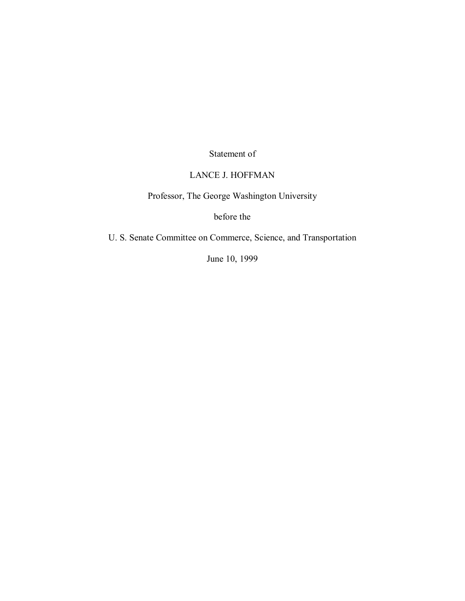Statement of

## LANCE J. HOFFMAN

Professor, The George Washington University

before the

U. S. Senate Committee on Commerce, Science, and Transportation

June 10, 1999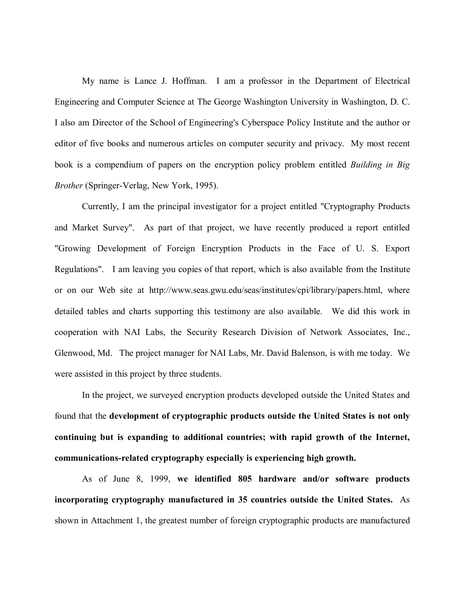My name is Lance J. Hoffman. I am a professor in the Department of Electrical Engineering and Computer Science at The George Washington University in Washington, D. C. I also am Director of the School of Engineering's Cyberspace Policy Institute and the author or editor of five books and numerous articles on computer security and privacy. My most recent book is a compendium of papers on the encryption policy problem entitled *Building in Big Brother* (Springer-Verlag, New York, 1995).

Currently, I am the principal investigator for a project entitled "Cryptography Products and Market Survey". As part of that project, we have recently produced a report entitled "Growing Development of Foreign Encryption Products in the Face of U. S. Export Regulations". I am leaving you copies of that report, which is also available from the Institute or on our Web site at http://www.seas.gwu.edu/seas/institutes/cpi/library/papers.html, where detailed tables and charts supporting this testimony are also available. We did this work in cooperation with NAI Labs, the Security Research Division of Network Associates, Inc., Glenwood, Md. The project manager for NAI Labs, Mr. David Balenson, is with me today. We were assisted in this project by three students.

In the project, we surveyed encryption products developed outside the United States and found that the **development of cryptographic products outside the United States is not only continuing but is expanding to additional countries; with rapid growth of the Internet, communications-related cryptography especially is experiencing high growth.**

As of June 8, 1999, **we identified 805 hardware and/or software products incorporating cryptography manufactured in 35 countries outside the United States.** As shown in Attachment 1, the greatest number of foreign cryptographic products are manufactured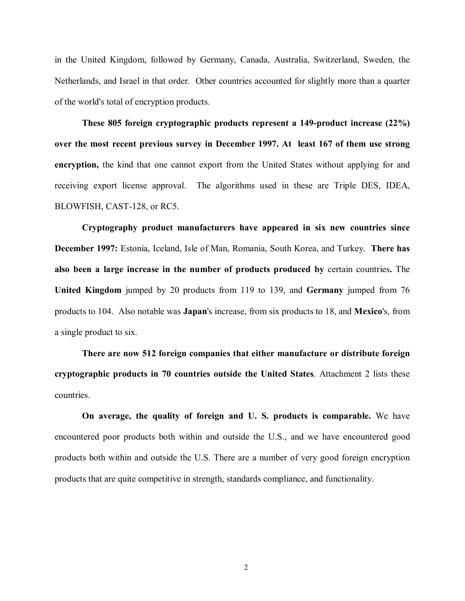in the United Kingdom, followed by Germany, Canada, Australia, Switzerland, Sweden, the Netherlands, and Israel in that order. Other countries accounted for slightly more than a quarter of the world's total of encryption products.

**These 805 foreign cryptographic products represent a 149-product increase (22%) over the most recent previous survey in December 1997. At least 167 of them use strong encryption,** the kind that one cannot export from the United States without applying for and receiving export license approval. The algorithms used in these are Triple DES, IDEA, BLOWFISH, CAST-128, or RC5.

**Cryptography product manufacturers have appeared in six new countries since December 1997:** Estonia, Iceland, Isle of Man, Romania, South Korea, and Turkey. **There has also been a large increase in the number of products produced by** certain countries**.** The **United Kingdom** jumped by 20 products from 119 to 139, and **Germany** jumped from 76 products to 104. Also notable was **Japan**'s increase, from six products to 18, and **Mexico**'s, from a single product to six.

**There are now 512 foreign companies that either manufacture or distribute foreign cryptographic products in 70 countries outside the United States**. Attachment 2 lists these countries.

**On average, the quality of foreign and U. S. products is comparable.** We have encountered poor products both within and outside the U.S., and we have encountered good products both within and outside the U.S. There are a number of very good foreign encryption products that are quite competitive in strength, standards compliance, and functionality.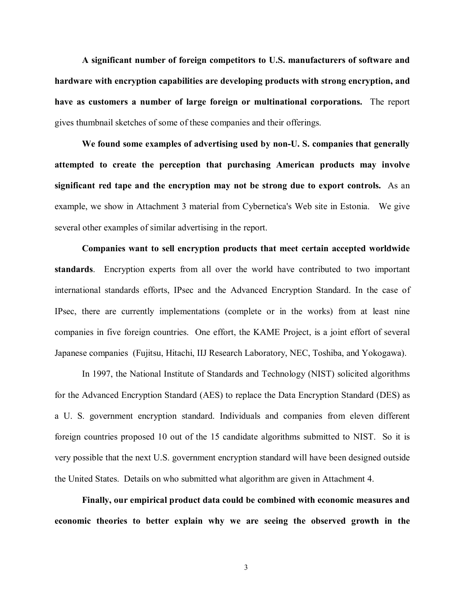**A significant number of foreign competitors to U.S. manufacturers of software and hardware with encryption capabilities are developing products with strong encryption, and have as customers a number of large foreign or multinational corporations.** The report gives thumbnail sketches of some of these companies and their offerings.

**We found some examples of advertising used by non-U. S. companies that generally attempted to create the perception that purchasing American products may involve significant red tape and the encryption may not be strong due to export controls.** As an example, we show in Attachment 3 material from Cybernetica's Web site in Estonia. We give several other examples of similar advertising in the report.

**Companies want to sell encryption products that meet certain accepted worldwide standards**.Encryption experts from all over the world have contributed to two important international standards efforts, IPsec and the Advanced Encryption Standard. In the case of IPsec, there are currently implementations (complete or in the works) from at least nine companies in five foreign countries. One effort, the KAME Project, is a joint effort of several Japanese companies (Fujitsu, Hitachi, IIJ Research Laboratory, NEC, Toshiba, and Yokogawa).

In 1997, the National Institute of Standards and Technology (NIST) solicited algorithms for the Advanced Encryption Standard (AES) to replace the Data Encryption Standard (DES) as a U. S. government encryption standard. Individuals and companies from eleven different foreign countries proposed 10 out of the 15 candidate algorithms submitted to NIST. So it is very possible that the next U.S. government encryption standard will have been designed outside the United States. Details on who submitted what algorithm are given in Attachment 4.

**Finally, our empirical product data could be combined with economic measures and economic theories to better explain why we are seeing the observed growth in the**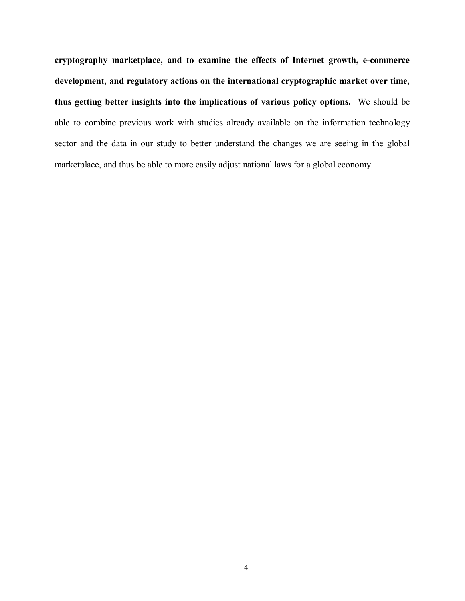**cryptography marketplace, and to examine the effects of Internet growth, e-commerce development, and regulatory actions on the international cryptographic market over time, thus getting better insights into the implications of various policy options.** We should be able to combine previous work with studies already available on the information technology sector and the data in our study to better understand the changes we are seeing in the global marketplace, and thus be able to more easily adjust national laws for a global economy.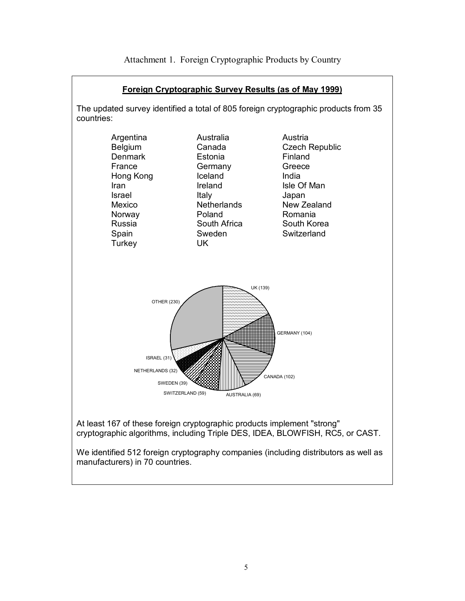

Attachment 1. Foreign Cryptographic Products by Country

We identified 512 foreign cryptography companies (including distributors as well as manufacturers) in 70 countries.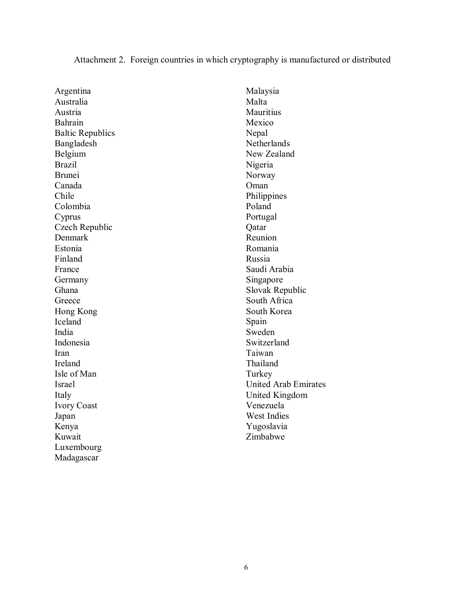## Attachment 2. Foreign countries in which cryptography is manufactured or distributed

Argentina Australia Austria Bahrain Baltic Republics Bangladesh Belgium Brazil Brunei Canada Chile Colombia Cyprus Czech Republic Denmark Estonia Finland France Germany Ghana Greece Hong Kong Iceland India Indonesia Iran Ireland Isle of Man Israel Italy Ivory Coast Japan Kenya Kuwait Luxembourg Madagascar

Malaysia Malta **Mauritius** Mexico Nepal Netherlands New Zealand Nigeria Norway Oman Philippines Poland Portugal Qatar Reunion Romania Russia Saudi Arabia Singapore Slovak Republic South Africa South Korea Spain Sweden Switzerland Taiwan Thailand Turkey United Arab Emirates United Kingdom Venezuela West Indies Yugoslavia Zimbabwe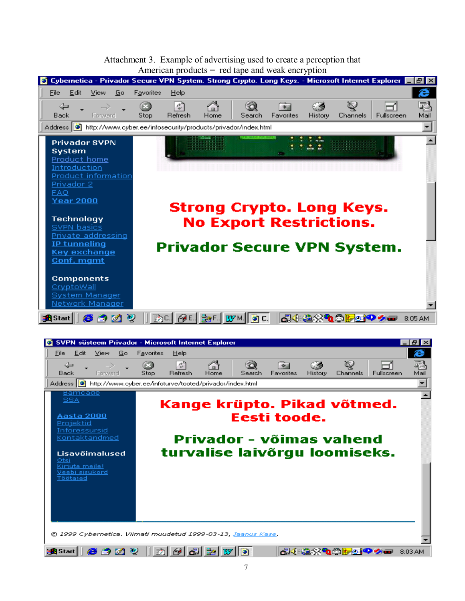## Attachment 3. Example of advertising used to create a perception that American products  $=$  red tape and weak encryption